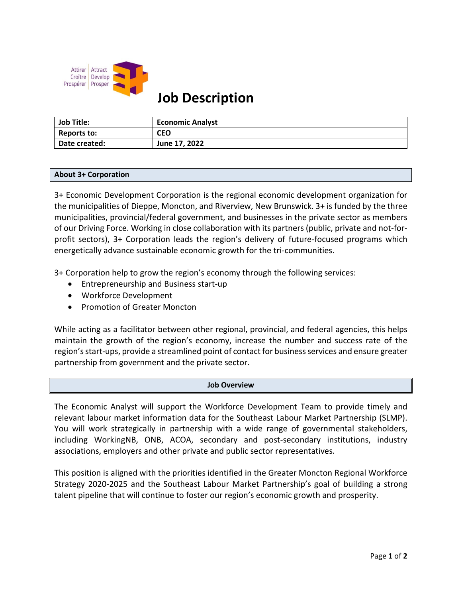

# **Job Description**

| Job Title:    | <b>Economic Analyst</b> |
|---------------|-------------------------|
| Reports to:   | <b>CEO</b>              |
| Date created: | June 17, 2022           |

#### **About 3+ Corporation**

3+ Economic Development Corporation is the regional economic development organization for the municipalities of Dieppe, Moncton, and Riverview, New Brunswick. 3+ is funded by the three municipalities, provincial/federal government, and businesses in the private sector as members of our Driving Force. Working in close collaboration with its partners (public, private and not-forprofit sectors), 3+ Corporation leads the region's delivery of future-focused programs which energetically advance sustainable economic growth for the tri-communities.

3+ Corporation help to grow the region's economy through the following services:

- Entrepreneurship and Business start-up
- Workforce Development
- Promotion of Greater Moncton

While acting as a facilitator between other regional, provincial, and federal agencies, this helps maintain the growth of the region's economy, increase the number and success rate of the region's start-ups, provide a streamlined point of contact for business services and ensure greater partnership from government and the private sector.

#### **Job Overview**

The Economic Analyst will support the Workforce Development Team to provide timely and relevant labour market information data for the Southeast Labour Market Partnership (SLMP). You will work strategically in partnership with a wide range of governmental stakeholders, including WorkingNB, ONB, ACOA, secondary and post-secondary institutions, industry associations, employers and other private and public sector representatives.

This position is aligned with the priorities identified in the Greater Moncton Regional Workforce Strategy 2020-2025 and the Southeast Labour Market Partnership's goal of building a strong talent pipeline that will continue to foster our region's economic growth and prosperity.